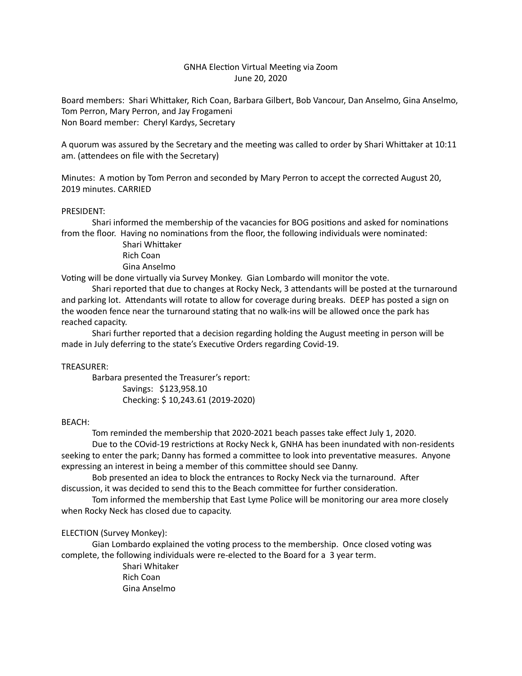# GNHA Election Virtual Meeting via Zoom June 20, 2020

Board members: Shari Whittaker, Rich Coan, Barbara Gilbert, Bob Vancour, Dan Anselmo, Gina Anselmo, Tom Perron, Mary Perron, and Jay Frogameni Non Board member: Cheryl Kardys, Secretary

A quorum was assured by the Secretary and the meeting was called to order by Shari Whittaker at 10:11 am. (attendees on file with the Secretary)

Minutes: A motion by Tom Perron and seconded by Mary Perron to accept the corrected August 20, 2019 minutes. CARRIED

### PRESIDENT:

Shari informed the membership of the vacancies for BOG positions and asked for nominations from the floor. Having no nominations from the floor, the following individuals were nominated:

> Shari Whittaker Rich Coan Gina Anselmo

Voting will be done virtually via Survey Monkey. Gian Lombardo will monitor the vote.

Shari reported that due to changes at Rocky Neck, 3 attendants will be posted at the turnaround and parking lot. Attendants will rotate to allow for coverage during breaks. DEEP has posted a sign on the wooden fence near the turnaround stating that no walk-ins will be allowed once the park has reached capacity.

Shari further reported that a decision regarding holding the August meeting in person will be made in July deferring to the state's Executive Orders regarding Covid-19.

# TREASURER:

Barbara presented the Treasurer's report: Savings: \$123,958.10 Checking: \$10,243.61 (2019-2020)

#### BEACH:

Tom reminded the membership that 2020-2021 beach passes take effect July 1, 2020.

Due to the COvid-19 restrictions at Rocky Neck k, GNHA has been inundated with non-residents seeking to enter the park; Danny has formed a committee to look into preventative measures. Anyone expressing an interest in being a member of this committee should see Danny.

Bob presented an idea to block the entrances to Rocky Neck via the turnaround. After discussion, it was decided to send this to the Beach committee for further consideration.

Tom informed the membership that East Lyme Police will be monitoring our area more closely when Rocky Neck has closed due to capacity.

# ELECTION (Survey Monkey):

Gian Lombardo explained the voting process to the membership. Once closed voting was complete, the following individuals were re-elected to the Board for a 3 year term.

> Shari Whitaker Rich Coan Gina Anselmo